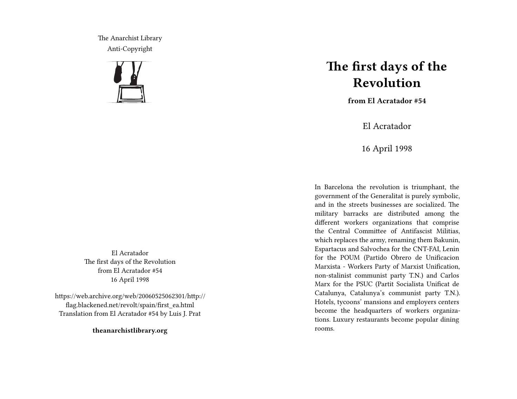The Anarchist Library Anti-Copyright



El Acratador The first days of the Revolution from El Acratador #54 16 April 1998

https://web.archive.org/web/20060525062301/http:// flag.blackened.net/revolt/spain/first\_ea.html Translation from El Acratador #54 by Luis J. Prat

**theanarchistlibrary.org**

## **The first days of the Revolution**

**from El Acratador #54**

El Acratador

16 April 1998

In Barcelona the revolution is triumphant, the government of the Generalitat is purely symbolic, and in the streets businesses are socialized. The military barracks are distributed among the different workers organizations that comprise the Central Committee of Antifascist Militias, which replaces the army, renaming them Bakunin, Espartacus and Salvochea for the CNT-FAI, Lenin for the POUM (Partido Obrero de Unificacion Marxista - Workers Party of Marxist Unification, non-stalinist communist party T.N.) and Carlos Marx for the PSUC (Partit Socialista Unificat de Catalunya, Catalunya's communist party T.N.). Hotels, tycoons' mansions and employers centers become the headquarters of workers organizations. Luxury restaurants become popular dining rooms.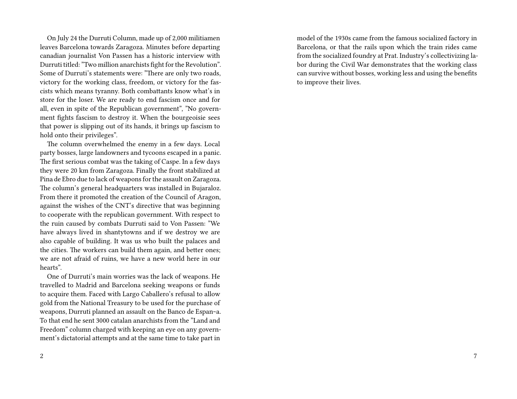On July 24 the Durruti Column, made up of 2,000 militiamen leaves Barcelona towards Zaragoza. Minutes before departing canadian journalist Von Passen has a historic interview with Durruti titled: "Two million anarchists fight for the Revolution". Some of Durruti's statements were: "There are only two roads, victory for the working class, freedom, or victory for the fascists which means tyranny. Both combattants know what's in store for the loser. We are ready to end fascism once and for all, even in spite of the Republican government", "No government fights fascism to destroy it. When the bourgeoisie sees that power is slipping out of its hands, it brings up fascism to hold onto their privileges".

The column overwhelmed the enemy in a few days. Local party bosses, large landowners and tycoons escaped in a panic. The first serious combat was the taking of Caspe. In a few days they were 20 km from Zaragoza. Finally the front stabilized at Pina de Ebro due to lack of weapons for the assault on Zaragoza. The column's general headquarters was installed in Bujaraloz. From there it promoted the creation of the Council of Aragon, against the wishes of the CNT's directive that was beginning to cooperate with the republican government. With respect to the ruin caused by combats Durruti said to Von Passen: "We have always lived in shantytowns and if we destroy we are also capable of building. It was us who built the palaces and the cities. The workers can build them again, and better ones; we are not afraid of ruins, we have a new world here in our hearts".

One of Durruti's main worries was the lack of weapons. He travelled to Madrid and Barcelona seeking weapons or funds to acquire them. Faced with Largo Caballero's refusal to allow gold from the National Treasury to be used for the purchase of weapons, Durruti planned an assault on the Banco de Espan~a. To that end he sent 3000 catalan anarchists from the "Land and Freedom" column charged with keeping an eye on any government's dictatorial attempts and at the same time to take part in

model of the 1930s came from the famous socialized factory in Barcelona, or that the rails upon which the train rides came from the socialized foundry at Prat. Industry's collectivizing labor during the Civil War demonstrates that the working class can survive without bosses, working less and using the benefits to improve their lives.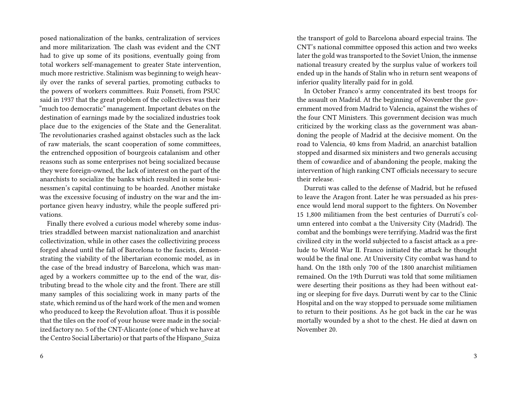posed nationalization of the banks, centralization of services and more militarization. The clash was evident and the CNT had to give up some of its positions, eventually going from total workers self-management to greater State intervention, much more restrictive. Stalinism was beginning to weigh heavily over the ranks of several parties, promoting cutbacks to the powers of workers committees. Ruiz Ponseti, from PSUC said in 1937 that the great problem of the collectives was their "much too democratic" management. Important debates on the destination of earnings made by the socialized industries took place due to the exigencies of the State and the Generalitat. The revolutionaries crashed against obstacles such as the lack of raw materials, the scant cooperation of some committees, the entrenched opposition of bourgeois catalanism and other reasons such as some enterprises not being socialized because they were foreign-owned, the lack of interest on the part of the anarchists to socialize the banks which resulted in some businessmen's capital continuing to be hoarded. Another mistake was the excessive focusing of industry on the war and the importance given heavy industry, while the people suffered privations.

Finally there evolved a curious model whereby some industries straddled between marxist nationalization and anarchist collectivization, while in other cases the collectivizing process forged ahead until the fall of Barcelona to the fascists, demonstrating the viability of the libertarian economic model, as in the case of the bread industry of Barcelona, which was managed by a workers committee up to the end of the war, distributing bread to the whole city and the front. There are still many samples of this socializing work in many parts of the state, which remind us of the hard work of the men and women who produced to keep the Revolution afloat. Thus it is possible that the tiles on the roof of your house were made in the socialized factory no. 5 of the CNT-Alicante (one of which we have at the Centro Social Libertario) or that parts of the Hispano\_Suiza

the transport of gold to Barcelona aboard especial trains. The CNT's national committee opposed this action and two weeks later the gold was transported to the Soviet Union, the inmense national treasury created by the surplus value of workers toil ended up in the hands of Stalin who in return sent weapons of inferior quality literally paid for in gold.

In October Franco's army concentrated its best troops for the assault on Madrid. At the beginning of November the government moved from Madrid to Valencia, against the wishes of the four CNT Ministers. This government decision was much criticized by the working class as the government was abandoning the people of Madrid at the decisive moment. On the road to Valencia, 40 kms from Madrid, an anarchist batallion stopped and disarmed six ministers and two generals accusing them of cowardice and of abandoning the people, making the intervention of high ranking CNT officials necessary to secure their release.

Durruti was called to the defense of Madrid, but he refused to leave the Aragon front. Later he was persuaded as his presence would lend moral support to the fighters. On November 15 1,800 militiamen from the best centuries of Durruti's column entered into combat a the University City (Madrid). The combat and the bombings were terrifying. Madrid was the first civilized city in the world subjected to a fascist attack as a prelude to World War II. Franco initiated the attack he thought would be the final one. At University City combat was hand to hand. On the 18th only 700 of the 1800 anarchist militiamen remained. On the 19th Durruti was told that some militiamen were deserting their positions as they had been without eating or sleeping for five days. Durruti went by car to the Clinic Hospital and on the way stopped to persuade some militiamen to return to their positions. As he got back in the car he was mortally wounded by a shot to the chest. He died at dawn on November 20.